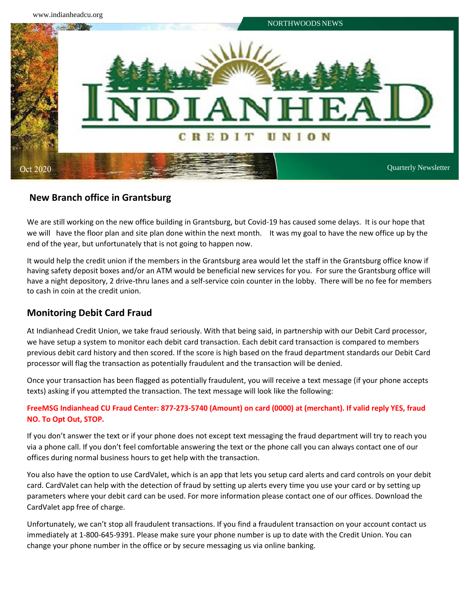

## **New Branch office in Grantsburg**

We are still working on the new office building in Grantsburg, but Covid-19 has caused some delays. It is our hope that we will have the floor plan and site plan done within the next month. It was my goal to have the new office up by the end of the year, but unfortunately that is not going to happen now.

It would help the credit union if the members in the Grantsburg area would let the staff in the Grantsburg office know if having safety deposit boxes and/or an ATM would be beneficial new services for you. For sure the Grantsburg office will have a night depository, 2 drive-thru lanes and a self-service coin counter in the lobby. There will be no fee for members to cash in coin at the credit union.

## **Monitoring Debit Card Fraud**

At Indianhead Credit Union, we take fraud seriously. With that being said, in partnership with our Debit Card processor, we have setup a system to monitor each debit card transaction. Each debit card transaction is compared to members previous debit card history and then scored. If the score is high based on the fraud department standards our Debit Card processor will flag the transaction as potentially fraudulent and the transaction will be denied.

Once your transaction has been flagged as potentially fraudulent, you will receive a text message (if your phone accepts texts) asking if you attempted the transaction. The text message will look like the following:

## **FreeMSG Indianhead CU Fraud Center: 877-273-5740 (Amount) on card (0000) at (merchant). If valid reply YES, fraud NO. To Opt Out, STOP.**

If you don't answer the text or if your phone does not except text messaging the fraud department will try to reach you via a phone call. If you don't feel comfortable answering the text or the phone call you can always contact one of our offices during normal business hours to get help with the transaction.

You also have the option to use CardValet, which is an app that lets you setup card alerts and card controls on your debit card. CardValet can help with the detection of fraud by setting up alerts every time you use your card or by setting up parameters where your debit card can be used. For more information please contact one of our offices. Download the CardValet app free of charge.

Unfortunately, we can't stop all fraudulent transactions. If you find a fraudulent transaction on your account contact us immediately at 1-800-645-9391. Please make sure your phone number is up to date with the Credit Union. You can change your phone number in the office or by secure messaging us via online banking.